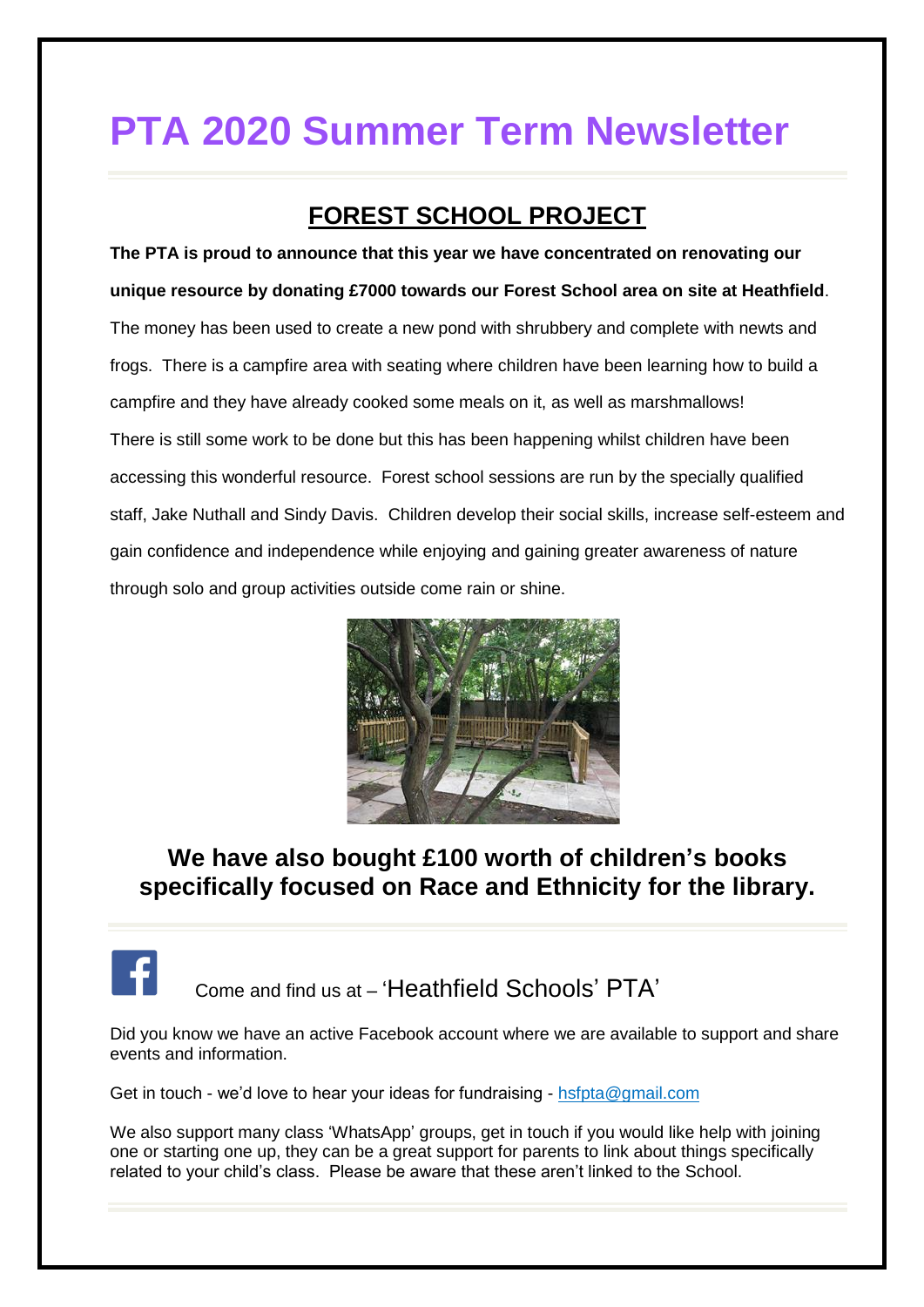# **PTA 2020 Summer Term Newsletter**

### **FOREST SCHOOL PROJECT**

**The PTA is proud to announce that this year we have concentrated on renovating our unique resource by donating £7000 towards our Forest School area on site at Heathfield**. The money has been used to create a new pond with shrubbery and complete with newts and frogs. There is a campfire area with seating where children have been learning how to build a campfire and they have already cooked some meals on it, as well as marshmallows! There is still some work to be done but this has been happening whilst children have been accessing this wonderful resource. Forest school sessions are run by the specially qualified staff, Jake Nuthall and Sindy Davis. Children develop their social skills, increase self-esteem and gain confidence and independence while enjoying and gaining greater awareness of nature through solo and group activities outside come rain or shine.



### **We have also bought £100 worth of children's books specifically focused on Race and Ethnicity for the library.**



Did you know we have an active Facebook account where we are available to support and share events and information.

Get in touch - we'd love to hear your ideas for fundraising - [hsfpta@gmail.com](mailto:hsfpta@gmail.com)

We also support many class 'WhatsApp' groups, get in touch if you would like help with joining one or starting one up, they can be a great support for parents to link about things specifically related to your child's class. Please be aware that these aren't linked to the School.